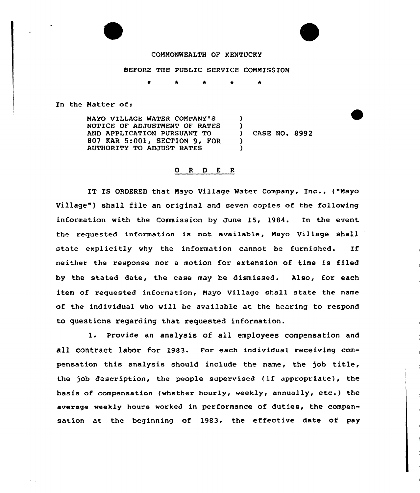### COMMONWEALTH OF KENTUCKY

#### BEFORE THE PUBLIC SERVICE COMMISSION

In the Matter of:

 $\gamma_1 \leq \gamma_2$  .

MAYO VILLAGE MATER COMPANY ' NOTICE OF ADJUSTMENT OF RATES AND APPLICATION PURSUANT TO 807 KAR 5:001, SECTION 9, FOR AUTHORITY TO ADJUST RATES ) )<br>) CASE NO. 8992 ) )

### 0 <sup>R</sup> <sup>D</sup> <sup>E</sup> <sup>R</sup>

IT IS ORDERED that Mayo Village Mater Company, Inc., ("Mayo Village" ) shall file an original and seven copies of the following information with the Commission by June 15, 1984. In the event the requested information is not available, Mayo Village shall state explicitly why the information cannot be furnished. If neither the response nor a motion for extension of time is filed by the stated date, the case may be dismissed. Also, for each item of requested information, Mayo Village shall state the name of the individual who will be available at the hearing to respond to questions regarding that requested information.

1. Provide an analysis of all employees compensation and a11 contract 1abor for 1983. For each individual receiving compensation this analysis should include the name, the job title, the job description, the people supervised (if appropriate), the basis of compensation (whether hourly, weekly, annually, etc.) the average weekly hours worked in performance of duties, the compensation at the beginning of 1983, the effective date of pay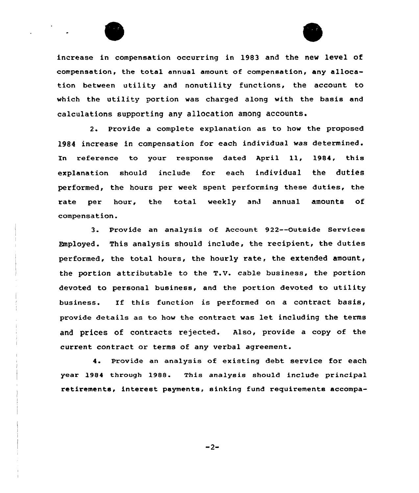



increase in compensation occurring in 19S3 and the new level of compensation, the total annual amount of compensation, any allocation between utility and nonutility functions, the account to which the utility portion was charged along with the basis and calculations supporting any allocation among accounts.

2. Provide a complete explanation as to how the proposed 1984 increase in compensation for each individual was determined. In reference to your response dated April ll, 1984, this explanation should include for each individual the duties performed, the hours per week spent performing these duties, the rate per hour, the total weekly and annual amounts of compensation.

3. Provide an analysis of Account 922--Outside Services Employed. This analysis should include, the recipient, the duties performed, the total hours, the hourly rate, the extended amount, the portion attributable to the T.V. cable business, the portion devoted to personal business, and the portion devoted to utility business. If this function is performed on <sup>a</sup> contract basis, provide details as to how the contract was let including the terms and prices of contracts rejected. Also, provide a copy of the current contract or terms of any verbal agreement.

4. Provide an analysis of existing debt service for each year 1984 through 1988. This analysis should include principal retirements, interest payments, sinking fund requirements accompa-

 $-2-$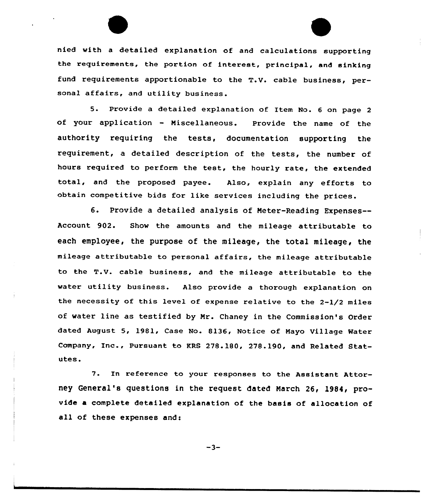nied with <sup>a</sup> detailed explanation of and calculations supporting the requirements, the portion of interest, principal, and sinking fund requirements apportionable to the T.V. cable business, personal affairs, and utility business.

5. Provide <sup>a</sup> detailed explanation of Item No. <sup>6</sup> on page <sup>2</sup> of your application — Miscellaneous. Provide the name of the authority requiring the tests, documentation supporting the requirement, a detailed description of the tests, the number of hours required to perform the test, the hourly rate, the extended total, and the proposed payee. Also, explain any efforts to obtain competitive bids for like services including the prices.

6. Provide a detailed analysis of Heter-Reading Expenses— Account 902. Show the amounts and the mileage attributable to each employee, the purpose of the mileage, the total mileage, the mileage attributable to personal affairs, the mileage attributable to the T.V. cable business, and the mileage attributable to the water utility business. Also provide <sup>a</sup> thorough explanation on the necessity of this level of expense relative to the 2-1/2 miles of water line as testified by Hr. Chancy in the Commission's Order dated August 5, 1981, Case No. 8136, Notice of Mayo Village Water Company, Inc., Pursuant to RRS 278.180, 278.190, and Related Statutes.

7. In reference to your responses to the Assistant Attorney General's questions in the request dated Harch 26, l984, provide a complete detailed explanation of the basis of allocation of all of these expenses and:

 $-3-$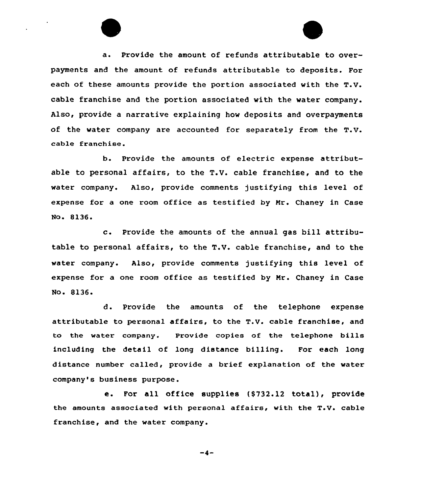a. Provide the amount of refunds attributable to overpayments and the amount of refunds attributable to deposits. For each of these amounts provide the portion associated with the T.V. cable franchise and the portion associated with the water company. Also, provide a narrative explaining how deposits and overpayments of the water company are accounted for separately from the T.V. cable franchise.

b. Provide the amounts of electric expense attributable to personal affairs, to the T.V. cable franchise, and to the water company. Also, provide comments justifying this level of expense for a one room office as testified by Mr. Chaney in Case No. 8136.

c. Provide the amounts of the annual gas bill attributable to personal affairs, to the T.V. cable franchise, and to the water company. Also, provide comments justifying this level of expense for a one room office as testified by Mr. Chaney in Case No. 8136.

d. Provide the amounts of the telephone expense attributable to personal affairs, to the T.V. cable franchise, and to the water company. Provide copies of the telephone bills including the detail of long distance billing. For each long distance number called, provide a brief explanation of the water company's business purpose.

e. For all office supplies (\$732.12 total), provide the amounts associated with personal affairs, with the T.V. cable franchise, and the water company.

$$
-4-
$$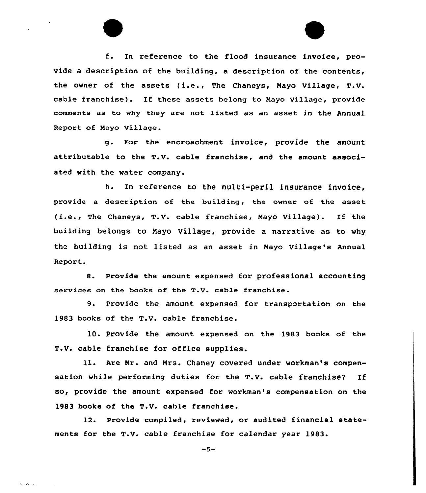f. In reference to the flood insurance invoice, provide a description of the building, a description of the contents, the owner of the assets (i.e., The Chaneys, Mayo Village, T.V. cable franchise). If these assets belong to Mayo Village, provide comments as to why they are not listed as an asset in the Annual Report of Mayo Village.

g. For the encroachment invoice, provide the amount attributable to the T.v. cable franchise, and the amount associated with the water company.

h. In reference to the multi-peril insurance invoice, provide a description of the building, the owner of the asset (i.e., The Chaneys, T.V. cable franchise, Mayo Village). If the building belongs to Nayo Village, provide a narrative as to why the building is not listed as an asset in Mayo Village's Annual Report.

8. Provide the amount expensed for professional accounting services on the books of the T.V. cable franchise.

9. Provide the amount. expensed for transportation on the 1983 books of the T.V. cable franchise.

10. Provide the amount expensed on the 1983 books of the T.Y. cable franchise for office supplies.

ll. Are Nr. and Mrs. Chancy covered under workman's compensation while performing duties for the T.V. cable franchise? If so, provide the amount expensed for workman's compensation on the 1983 books of the T.V. cable franchise.

12. Provide compiled, reviewed, or audited financial statements for the T.V. cable franchise for calendar year 1983.

 $-5-$ 

المستقادة والما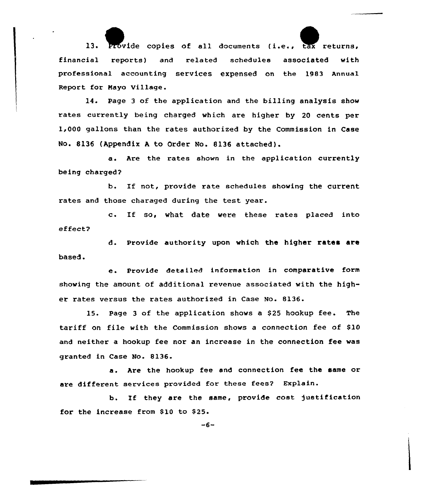13. Provide copies of all documents (i.e., tax returns, financial reports) and related schedules associated with professional accounting services expensed on the 1983 Annual Report for Maya Village.

14. Page <sup>3</sup> of the application and the billing analysis show rates currently being charged which are higher by 20 cents per 1,000 gallons than the rates authorized by the Commission in Case No. 8136 (Appendix <sup>A</sup> to Order Mo. 8136 attached).

a. Are the rates shown in the application currently being charged?

b. If not, provide rate schedules showing the current rates and those charaged during the test year.

c. If so, what date were these rates placed into effect?

d. Provide authority upon which the higher rates are based.

e Provide detailed information in comparative form showing the amount of additional revenue associated with the higher rates versus the rates authorized in Case No. 8136.

15. Page <sup>3</sup> of the application shows a \$25 hookup fee. The tariff on file with the Commission shows a connection fee of \$10 and neither a hookup fee nor an increase in the connection fee was granted in Case No. 8136.

a. Are the hookup fee and connection fee the same or are different services provided for these fees? Explain.

b. lf they are the same, provide cost justification for the increase from \$10 to \$25.

 $-6-$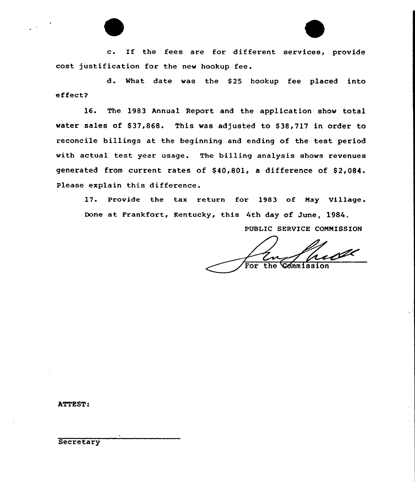c. If the fees are for different services, provide cost justification for the new hookup fee.

d. What date was the \$25 hookup fee placed into effect?

16. The 1983 Annual Report and the application show total water sales of \$37,868. This was adjusted to \$38,717 in order to reconcile billings at the beginning and ending of the test period with actual test year usage. The billing analysis shows revenues generated from current rates of \$40,801, a difference of \$2,084. Please explain this difference.

17. Provide the tax return for 1983 of May Village. Done at Frankfort, Kentucky, this 4th day of June, 1984.

PUBLIC SERVICE COMMISSION

 $\overline{For}$ the Commissi

ATTEST:

**Secretary**